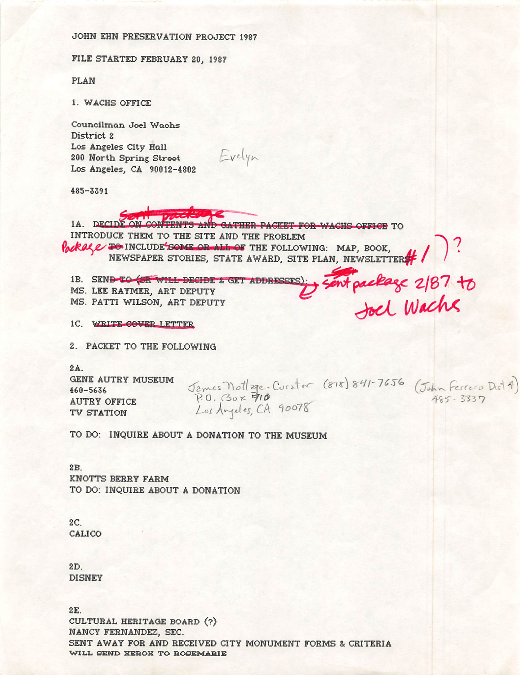JOHN EHN PRESERVATION PROJECT 1987

## FILE STARTED FEBRUARY 20, 1987

**PLAN** 

1. WACHS OFFICE

Councilman Joel Wachs District 2 Los Angeles City Hall 200 North Spring Street Los Angeles, CA 90012-4802

Evelyn

485-3391

1A. DECIDE ON CONTENTS AND GATHER PACKET FOR WACHS OFFICE TO INTRODUCE THEM TO THE SITE AND THE PROBLEM NEWSPAPER STORIES, STATE AWARD, SITE PLAN, NEWSLETTER  $\left($   $\right)$  ? **Packale TO INCLUDE SOME OR ALL OF THE FOLLOWING: MAP, BOOK,** 

IB. SEND-CO (OF WILL-DEGIDE & GET ADDRESSES) SENT package 2/87 to

**1C. WRITE COVER LETTER** 

2. PACKET TO THE FOLLOWING

 $2A$ GENE AUTRY MUSEUM 460-5636 **AUTRY OFFICE** TV STATION

James Notlage-Curator (818) 841-7656 (John Ferrero Dist 4) Los Angeles, CA 90078

TO DO: INQUIRE ABOUT A DONATION TO THE MUSEUM

 $2R$ KNOTTS BERRY FARM TO DO: INQUIRE ABOUT A DONATION

2C. CALICO

 $2D.$ **DISNEY** 

2E. CULTURAL HERITAGE BOARD (?) NANCY FERNANDEZ, SEC. SENT AWAY FOR AND RECEIVED CITY MONUMENT FORMS & CRITERIA WILL SEND KEROX TO ROSEMARIE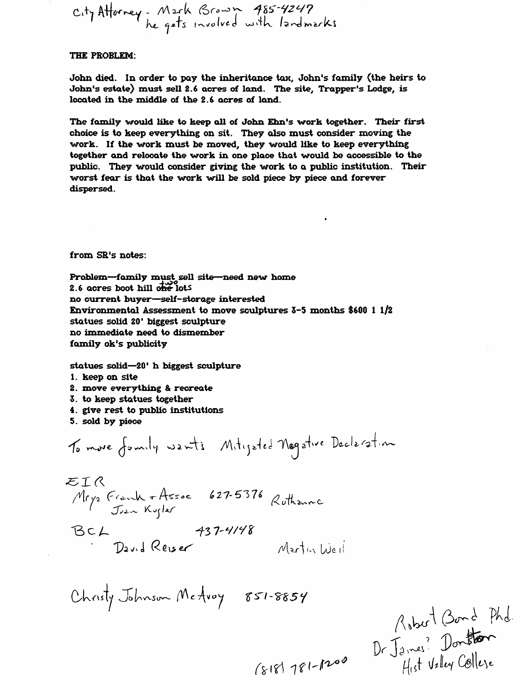- Mark lu,

THE PROBLEM:

John died. In order to pay the inheritance tax, John's family (the heirs to John's estate) must sell 2.6 acres of land. The site. Trapper's Lodge, is located in the middle of the 2.6 acres of land.

The family would like to keep all of John Ehn's work together. Their first choice is to keep everything on sit. They also must consider moving the work. If the work must be moved, they would like to keep everything together and relocate the work in one place that would be accessible to the public. They would consider giving the work to a public institution. Their worst fear is that the work will be sold piece by piece and forever dispersed.

from SR's notes:

Problem-family must sell site-need new home  $2.6$  acres boot hill one lots no current buyer-self-storage interested Environmental Assessment to move sculptures 3-5 months \$600 1 i/2 statues solid 20' biggest sculpture no immediate need to dismember family ok's publicity

statues solid—20' h biggest sculpture

- 1. keep on site
- 2. move everything & recreate
- 3. to keep statues together
- 4. give rest to public institutions
- 5. sold by piece

V ^ e 0 5 . v : : V i

 $8181781 - 1200$ 

1 3 C A • f 3 7 ' V / y ? v / ^ J ( 5 . e \ > I i

/V\c7\v»y g'S'/-'g-S5/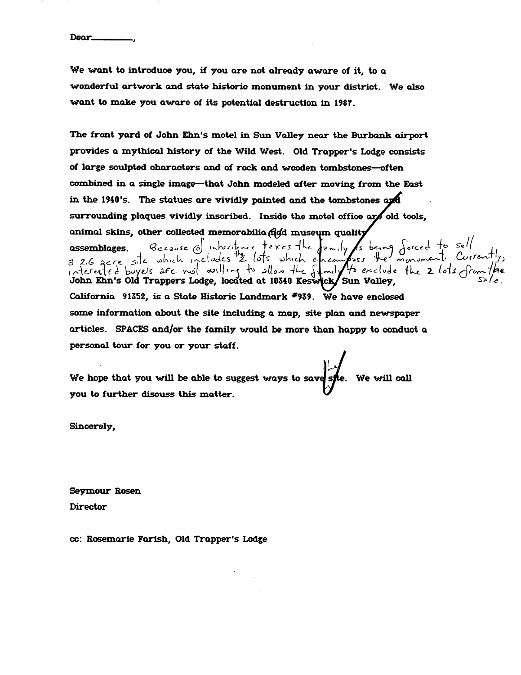We want to introduce you, if you are not already aware of it, to a wonderful artwork and state historic monument in your district. We also want to moke you aware of its potential destruction in 1987.

The front yard of John Ehn's motel in Sun Valley near the Burbank airport provides a mythical history of the Wild West. Old Trapper's Lodge consists of large sculpted characters and of rock and wooden tombstones—often combined in a single image—that John modeled after moving from the East in the 1940's. The statues are vividly painted and the tombstones surrounding plaques vividly inscribed. Inside the motel office  $\arg\theta$  old tools, animal skins, other collected memorabilia (i) d museum quality assemblages. Because @ inheritoire texes the family is being forced assemblages. Because of interience texes the family is being forced to sell<br>a 2.6 acre site which includes to lots which encompres the monument. Cur  $\frac{1}{2}$   $\frac{1}{2}$   $\frac{1}{2}$   $\frac{1}{2}$   $\frac{1}{2}$   $\frac{1}{2}$   $\frac{1}{2}$   $\frac{1}{2}$   $\frac{1}{2}$   $\frac{1}{2}$   $\frac{1}{2}$   $\frac{1}{2}$   $\frac{1}{2}$   $\frac{1}{2}$   $\frac{1}{2}$   $\frac{1}{2}$   $\frac{1}{2}$   $\frac{1}{2}$   $\frac{1}{2}$   $\frac{1}{2}$   $\frac{1}{2}$   $\frac{1}{2}$  California 91352, is a State Historic Landmark \*939. We have enclosed some information about the site including a map, site plan and newspaper articles. SPACES and/or the family would be more than happy to conduct a personal tour for you or your staff.

We hope that you will be able to suggest ways to save s**ji**e. We will call you to further discuss this matter.

Sincerely,

Seymour Rosen Director

cc: Rosemarie Farish, Old Trapper's Lodge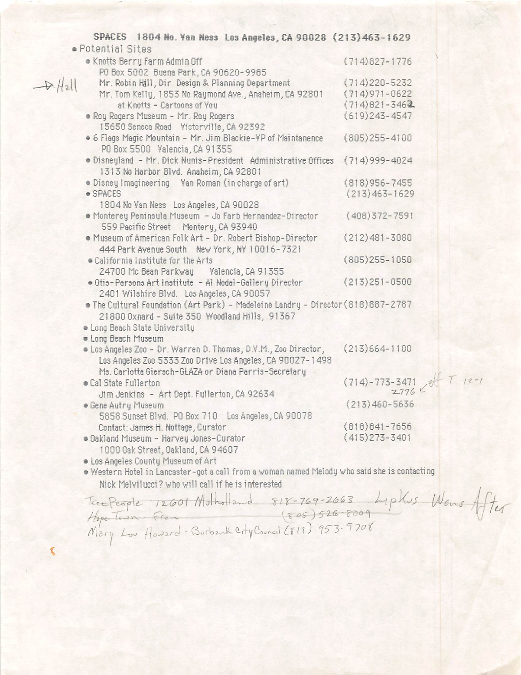|         | SPACES 1804 No. Yan Ness Los Angeles, CA 90028 (213) 463-1629<br>· Potential Sites                                                                                                                                 |                                        |
|---------|--------------------------------------------------------------------------------------------------------------------------------------------------------------------------------------------------------------------|----------------------------------------|
|         | * Knotts Berry Farm Admin Off<br>P0 Box 5002 Buena Park, CA 90620-9985                                                                                                                                             | $(714)827 - 1776$                      |
| $H$ all | Mr. Robin Hill, Dir Design & Planning Department<br>Mr. Tom Kelly, 1853 No Raymond Ave., Anaheim, CA 92801                                                                                                         | $(714)220 - 5232$<br>$(714)971 - 0622$ |
|         | at Knotts - Cartoons of You<br>Roy Rogers Museum - Mr. Roy Rogers                                                                                                                                                  | $(714)821 - 3462$<br>$(619)243 - 4547$ |
|         | 15650 Seneca Road Victorville, CA 92392<br>• 6 Flags Magic Mountain - Mr. Jim Blackie-VP of Maintanence<br>PO Box 5500 Valencia, CA 91355                                                                          | $(805)$ 255-4100                       |
|         | . Disneyland - Mr. Dick Nunis-President Administrative Offices<br>1313 No Harbor Blvd. Anaheim, CA 92801                                                                                                           | $(714)999 - 4024$                      |
|         | · Disney Imagineering Van Roman (in charge of art)<br>● SPACES                                                                                                                                                     | $(818)956 - 7455$<br>$(213)463 - 1629$ |
|         | 1804 No Van Ness Los Angeles, CA 90028<br>· Monterey Peninsula Museum - Jo Farb Hernandez-Director                                                                                                                 | $(408)372 - 7591$                      |
|         | 559 Pacific Street Montery, CA 93940<br>· Museum of American Folk Art - Dr. Robert Bishop-Director                                                                                                                 | $(212)481 - 3080$                      |
|         | 444 Park Avenue South New York, NY 10016-7321<br>· California Institute for the Arts                                                                                                                               | $(805)255 - 1050$                      |
|         | 24700 Mc Bean Parkway Valencia, CA 91355<br>. Otis-Parsons Art Institute - Al Nodal-Gallery Director                                                                                                               | $(213)251 - 0500$                      |
|         | 2401 Wilshire Blvd. Los Angeles, CA 90057<br>. The Cultural Foundation (Art Park) - Madeleine Landry - Director (818) 887-2787                                                                                     |                                        |
|         | 21800 Oxnard - Suite 350 Woodland Hills, 91367<br>• Long Beach State University                                                                                                                                    |                                        |
|         | <b>E</b> Long Beach Museum<br>· Los Angeles Zoo - Dr. Warren D. Thomas, D.V.M., Zoo Director,<br>Los Angeles Zoo 5333 Zoo Drive Los Angeles, CA 90027-1498<br>Ms. Carlotta Giersch-GLAZA or Diana Parris-Secretary | $(213)664 - 1100$                      |
|         | Cal State Fullerton<br>Jim Jenkins - Art Dept. Fullerton, CA 92634                                                                                                                                                 | $T$ $12-1$<br>$(714) - 773 - 3471$     |
|         | • Gene Autry Museum<br>5858 Sunset Blvd. PO Box 710 Los Angeles, CA 90078                                                                                                                                          | $(213)460 - 5636$                      |
|         | Contact: James H. Nottage, Curator<br>· Oakland Museum - Harvey Jones-Curator                                                                                                                                      | $(818)841 - 7656$<br>$(415)$ 273-3401  |
|         | 1000 Oak Street, Oakland, CA 94607<br>. Los Angeles County Museum of Art                                                                                                                                           |                                        |
|         | . Western Hotel in Lancaster-got a call from a woman named Melody who said she is contacting                                                                                                                       |                                        |

Nick Melvllucci? who will call if he is Interested

 $\mathcal{L}$ 

 $8 - 769 - 2663$  *Liplus*  $M$  ary  $L_0$ J"  $\left($ ■'Ifor